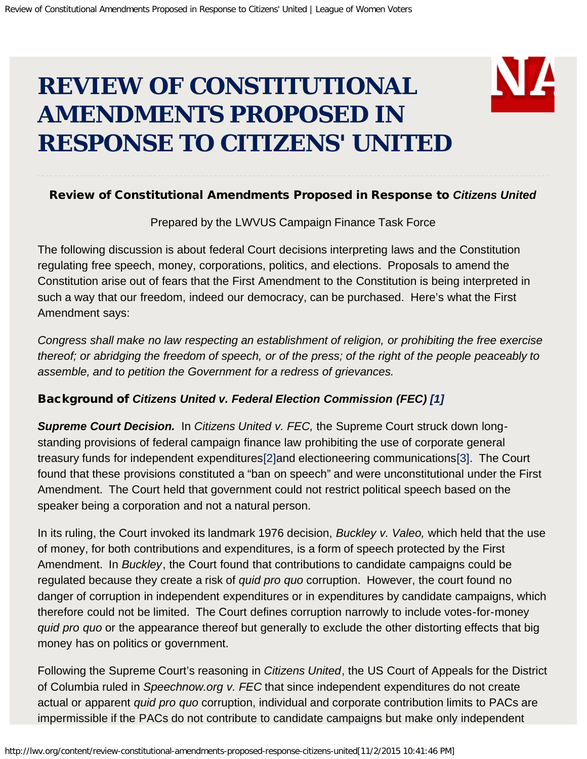# <span id="page-0-0"></span>**REVIEW OF CONSTITUTIONAL AMENDMENTS PROPOSED IN RESPONSE TO CITIZENS' UNITED**

#### Review of Constitutional Amendments Proposed in Response to *Citizens United*

Prepared by the LWVUS Campaign Finance Task Force

The following discussion is about federal Court decisions interpreting laws and the Constitution regulating free speech, money, corporations, politics, and elections. Proposals to amend the Constitution arise out of fears that the First Amendment to the Constitution is being interpreted in such a way that our freedom, indeed our democracy, can be purchased. Here's what the First Amendment says:

*Congress shall make no law respecting an establishment of religion, or prohibiting the free exercise thereof; or abridging the freedom of speech, or of the press; of the right of the people peaceably to assemble, and to petition the Government for a redress of grievances.*

#### Background of *Citizens United v. Federal Election Commission (FEC) [\[1\]](#page-0-0)*

*Supreme Court Decision.* In *Citizens United v. FEC,* the Supreme Court struck down longstanding provisions of federal campaign finance law prohibiting the use of corporate general treasury funds for independent expenditures[\[2\]a](#page-0-0)nd electioneering communications[\[3\].](#page-0-0) The Court found that these provisions constituted a "ban on speech" and were unconstitutional under the First Amendment. The Court held that government could not restrict political speech based on the speaker being a corporation and not a natural person.

In its ruling, the Court invoked its landmark 1976 decision, *Buckley v. Valeo,* which held that the use of money, for both contributions and expenditures, is a form of speech protected by the First Amendment. In *Buckley*, the Court found that contributions to candidate campaigns could be regulated because they create a risk of *quid pro quo* corruption. However, the court found no danger of corruption in independent expenditures or in expenditures by candidate campaigns, which therefore could not be limited. The Court defines corruption narrowly to include votes-for-money *quid pro quo* or the appearance thereof but generally to exclude the other distorting effects that big money has on politics or government.

Following the Supreme Court's reasoning in *Citizens United*, the US Court of Appeals for the District of Columbia ruled in *Speechnow.org v. FEC* that since independent expenditures do not create actual or apparent *quid pro quo* corruption, individual and corporate contribution limits to PACs are impermissible if the PACs do not contribute to candidate campaigns but make only independent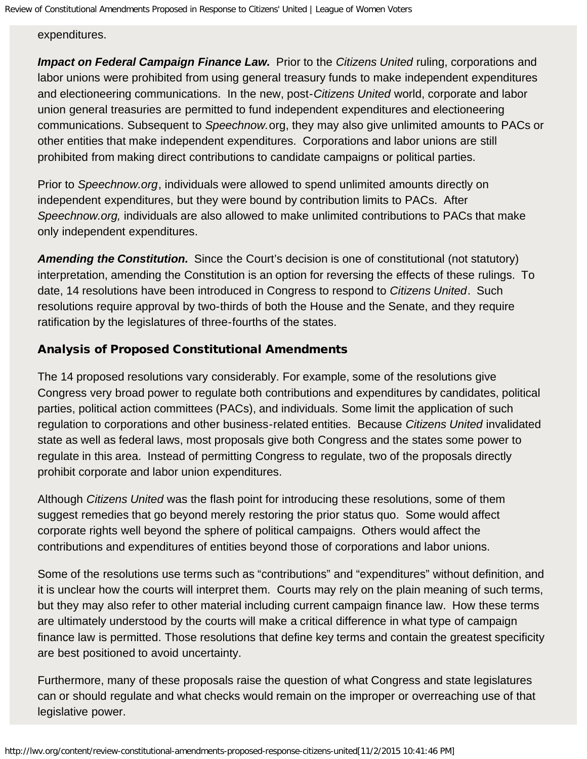expenditures.

**Impact on Federal Campaign Finance Law.** Prior to the *Citizens United* ruling, corporations and labor unions were prohibited from using general treasury funds to make independent expenditures and electioneering communications. In the new, post-*Citizens United* world, corporate and labor union general treasuries are permitted to fund independent expenditures and electioneering communications. Subsequent to *Speechnow.*org, they may also give unlimited amounts to PACs or other entities that make independent expenditures. Corporations and labor unions are still prohibited from making direct contributions to candidate campaigns or political parties.

Prior to *Speechnow.org*, individuals were allowed to spend unlimited amounts directly on independent expenditures, but they were bound by contribution limits to PACs. After *Speechnow.org,* individuals are also allowed to make unlimited contributions to PACs that make only independent expenditures.

*Amending the Constitution.* Since the Court's decision is one of constitutional (not statutory) interpretation, amending the Constitution is an option for reversing the effects of these rulings. To date, 14 resolutions have been introduced in Congress to respond to *Citizens United*. Such resolutions require approval by two-thirds of both the House and the Senate, and they require ratification by the legislatures of three-fourths of the states.

### Analysis of Proposed Constitutional Amendments

The 14 proposed resolutions vary considerably. For example, some of the resolutions give Congress very broad power to regulate both contributions and expenditures by candidates, political parties, political action committees (PACs), and individuals. Some limit the application of such regulation to corporations and other business-related entities. Because *Citizens United* invalidated state as well as federal laws, most proposals give both Congress and the states some power to regulate in this area. Instead of permitting Congress to regulate, two of the proposals directly prohibit corporate and labor union expenditures.

Although *Citizens United* was the flash point for introducing these resolutions, some of them suggest remedies that go beyond merely restoring the prior status quo. Some would affect corporate rights well beyond the sphere of political campaigns. Others would affect the contributions and expenditures of entities beyond those of corporations and labor unions.

Some of the resolutions use terms such as "contributions" and "expenditures" without definition, and it is unclear how the courts will interpret them. Courts may rely on the plain meaning of such terms, but they may also refer to other material including current campaign finance law. How these terms are ultimately understood by the courts will make a critical difference in what type of campaign finance law is permitted. Those resolutions that define key terms and contain the greatest specificity are best positioned to avoid uncertainty.

Furthermore, many of these proposals raise the question of what Congress and state legislatures can or should regulate and what checks would remain on the improper or overreaching use of that legislative power.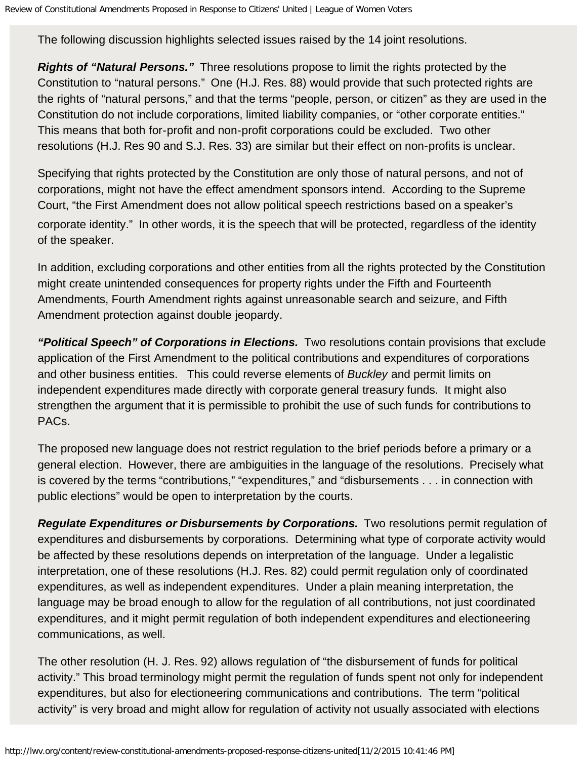The following discussion highlights selected issues raised by the 14 joint resolutions.

*Rights of "Natural Persons."* Three resolutions propose to limit the rights protected by the Constitution to "natural persons." One (H.J. Res. 88) would provide that such protected rights are the rights of "natural persons," and that the terms "people, person, or citizen" as they are used in the Constitution do not include corporations, limited liability companies, or "other corporate entities." This means that both for-profit and non-profit corporations could be excluded. Two other resolutions (H.J. Res 90 and S.J. Res. 33) are similar but their effect on non-profits is unclear.

Specifying that rights protected by the Constitution are only those of natural persons, and not of corporations, might not have the effect amendment sponsors intend. According to the Supreme Court, "the First Amendment does not allow political speech restrictions based on a speaker's corporate identity." In other words, it is the speech that will be protected, regardless of the identity of the speaker.

In addition, excluding corporations and other entities from all the rights protected by the Constitution might create unintended consequences for property rights under the Fifth and Fourteenth Amendments, Fourth Amendment rights against unreasonable search and seizure, and Fifth Amendment protection against double jeopardy.

*"Political Speech" of Corporations in Elections.* Two resolutions contain provisions that exclude application of the First Amendment to the political contributions and expenditures of corporations and other business entities. This could reverse elements of *Buckley* and permit limits on independent expenditures made directly with corporate general treasury funds. It might also strengthen the argument that it is permissible to prohibit the use of such funds for contributions to PACs.

The proposed new language does not restrict regulation to the brief periods before a primary or a general election. However, there are ambiguities in the language of the resolutions. Precisely what is covered by the terms "contributions," "expenditures," and "disbursements . . . in connection with public elections" would be open to interpretation by the courts.

*Regulate Expenditures or Disbursements by Corporations.* Two resolutions permit regulation of expenditures and disbursements by corporations. Determining what type of corporate activity would be affected by these resolutions depends on interpretation of the language. Under a legalistic interpretation, one of these resolutions (H.J. Res. 82) could permit regulation only of coordinated expenditures, as well as independent expenditures. Under a plain meaning interpretation, the language may be broad enough to allow for the regulation of all contributions, not just coordinated expenditures, and it might permit regulation of both independent expenditures and electioneering communications, as well.

The other resolution (H. J. Res. 92) allows regulation of "the disbursement of funds for political activity." This broad terminology might permit the regulation of funds spent not only for independent expenditures, but also for electioneering communications and contributions. The term "political activity" is very broad and might allow for regulation of activity not usually associated with elections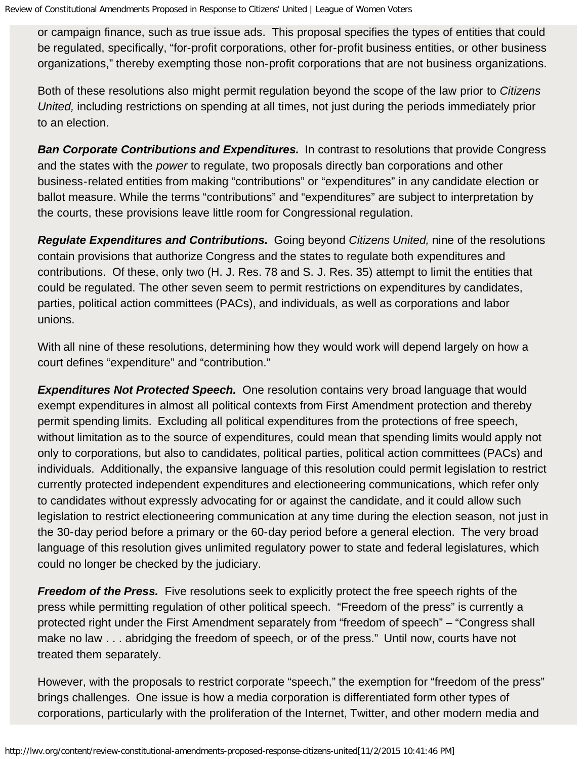or campaign finance, such as true issue ads. This proposal specifies the types of entities that could be regulated, specifically, "for-profit corporations, other for-profit business entities, or other business organizations," thereby exempting those non-profit corporations that are not business organizations.

Both of these resolutions also might permit regulation beyond the scope of the law prior to *Citizens United,* including restrictions on spending at all times, not just during the periods immediately prior to an election.

**Ban Corporate Contributions and Expenditures.** In contrast to resolutions that provide Congress and the states with the *power* to regulate, two proposals directly ban corporations and other business-related entities from making "contributions" or "expenditures" in any candidate election or ballot measure. While the terms "contributions" and "expenditures" are subject to interpretation by the courts, these provisions leave little room for Congressional regulation.

*Regulate Expenditures and Contributions.* Going beyond *Citizens United,* nine of the resolutions contain provisions that authorize Congress and the states to regulate both expenditures and contributions. Of these, only two (H. J. Res. 78 and S. J. Res. 35) attempt to limit the entities that could be regulated. The other seven seem to permit restrictions on expenditures by candidates, parties, political action committees (PACs), and individuals, as well as corporations and labor unions.

With all nine of these resolutions, determining how they would work will depend largely on how a court defines "expenditure" and "contribution."

*Expenditures Not Protected Speech.* One resolution contains very broad language that would exempt expenditures in almost all political contexts from First Amendment protection and thereby permit spending limits. Excluding all political expenditures from the protections of free speech, without limitation as to the source of expenditures, could mean that spending limits would apply not only to corporations, but also to candidates, political parties, political action committees (PACs) and individuals. Additionally, the expansive language of this resolution could permit legislation to restrict currently protected independent expenditures and electioneering communications, which refer only to candidates without expressly advocating for or against the candidate, and it could allow such legislation to restrict electioneering communication at any time during the election season, not just in the 30-day period before a primary or the 60-day period before a general election. The very broad language of this resolution gives unlimited regulatory power to state and federal legislatures, which could no longer be checked by the judiciary.

*Freedom of the Press.* Five resolutions seek to explicitly protect the free speech rights of the press while permitting regulation of other political speech. "Freedom of the press" is currently a protected right under the First Amendment separately from "freedom of speech" – "Congress shall make no law . . . abridging the freedom of speech, or of the press." Until now, courts have not treated them separately.

However, with the proposals to restrict corporate "speech," the exemption for "freedom of the press" brings challenges. One issue is how a media corporation is differentiated form other types of corporations, particularly with the proliferation of the Internet, Twitter, and other modern media and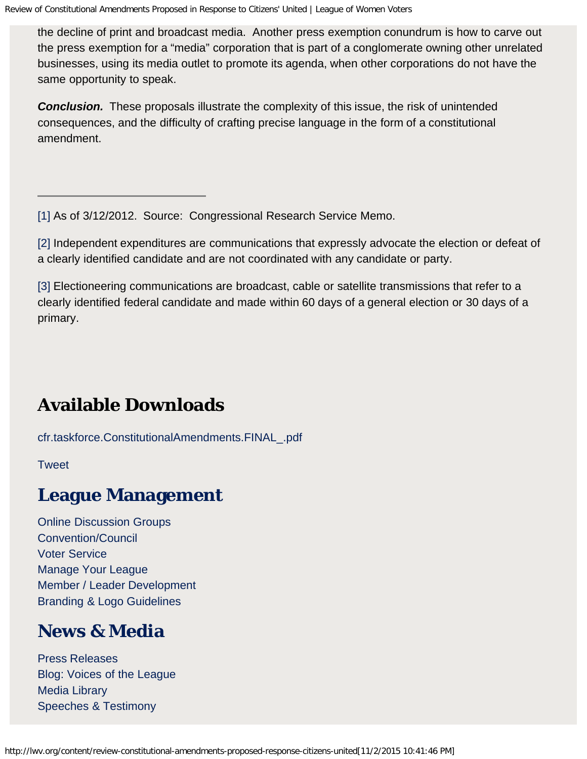the decline of print and broadcast media. Another press exemption conundrum is how to carve out the press exemption for a "media" corporation that is part of a conglomerate owning other unrelated businesses, using its media outlet to promote its agenda, when other corporations do not have the same opportunity to speak.

*Conclusion.* These proposals illustrate the complexity of this issue, the risk of unintended consequences, and the difficulty of crafting precise language in the form of a constitutional amendment.

[\[1\]](#page-0-0) As of 3/12/2012. Source: Congressional Research Service Memo.

[\[2\]](#page-0-0) Independent expenditures are communications that expressly advocate the election or defeat of a clearly identified candidate and are not coordinated with any candidate or party.

[\[3\]](#page-0-0) Electioneering communications are broadcast, cable or satellite transmissions that refer to a clearly identified federal candidate and made within 60 days of a general election or 30 days of a primary.

# **Available Downloads**

[cfr.taskforce.ConstitutionalAmendments.FINAL\\_.pdf](http://lwv.org/files/cfr.taskforce.ConstitutionalAmendments.FINAL_.pdf)

**[Tweet](http://twitter.com/share)** 

### **League Management**

[Online Discussion Groups](http://forum.lwv.org/groups) [Convention/Council](http://forum.lwv.org/category/member-resources/council-and-convention/council-2015) [Voter Service](http://forum.lwv.org/category/member-resources/our-work/voters-service) [Manage Your League](http://forum.lwv.org/member-resources/sections/manage-your-league) [Member / Leader Development](http://forum.lwv.org/member-resources/sections/membership-and-leadership-development) [Branding & Logo Guidelines](http://forum.lwv.org/category/member-resources/manage-your-league/visibility/league-logo-and-branding)

### **News & Media**

[Press Releases](http://lwv.org/news-and-media/press_release) [Blog: Voices of the League](http://lwv.org/blog) [Media Library](http://library.lwv.org/) [Speeches & Testimony](http://lwv.org/articles/speeches)